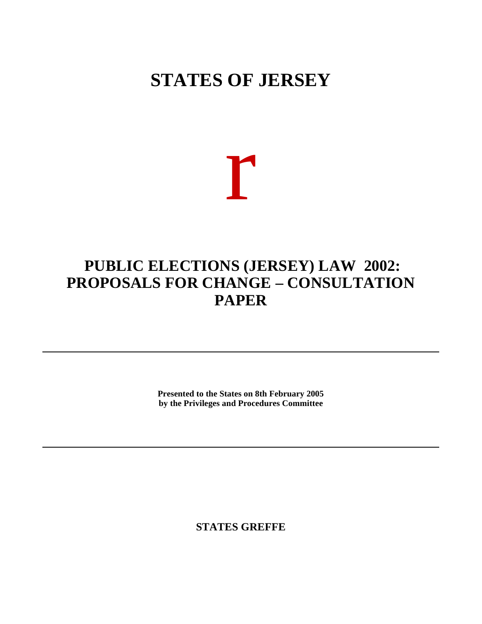# **STATES OF JERSEY**

# r

# **PUBLIC ELECTIONS (JERSEY) LAW 2002: PROPOSALS FOR CHANGE – CONSULTATION PAPER**

**Presented to the States on 8th February 2005 by the Privileges and Procedures Committee**

**STATES GREFFE**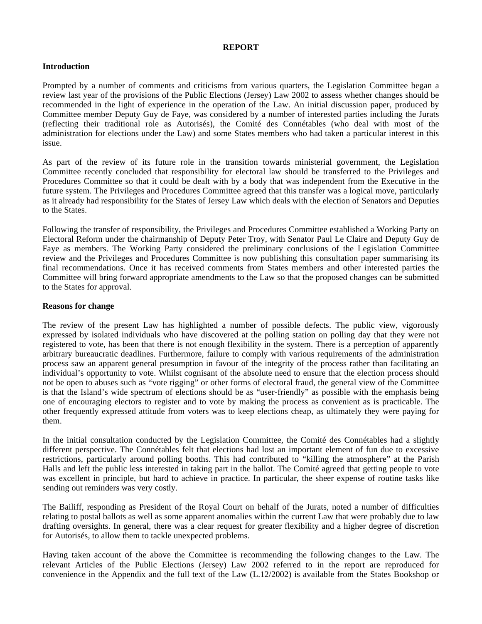# **REPORT**

# **Introduction**

Prompted by a number of comments and criticisms from various quarters, the Legislation Committee began a review last year of the provisions of the Public Elections (Jersey) Law 2002 to assess whether changes should be recommended in the light of experience in the operation of the Law. An initial discussion paper, produced by Committee member Deputy Guy de Faye, was considered by a number of interested parties including the Jurats (reflecting their traditional role as Autorisés), the Comité des Connétables (who deal with most of the administration for elections under the Law) and some States members who had taken a particular interest in this issue.

As part of the review of its future role in the transition towards ministerial government, the Legislation Committee recently concluded that responsibility for electoral law should be transferred to the Privileges and Procedures Committee so that it could be dealt with by a body that was independent from the Executive in the future system. The Privileges and Procedures Committee agreed that this transfer was a logical move, particularly as it already had responsibility for the States of Jersey Law which deals with the election of Senators and Deputies to the States.

Following the transfer of responsibility, the Privileges and Procedures Committee established a Working Party on Electoral Reform under the chairmanship of Deputy Peter Troy, with Senator Paul Le Claire and Deputy Guy de Faye as members. The Working Party considered the preliminary conclusions of the Legislation Committee review and the Privileges and Procedures Committee is now publishing this consultation paper summarising its final recommendations. Once it has received comments from States members and other interested parties the Committee will bring forward appropriate amendments to the Law so that the proposed changes can be submitted to the States for approval.

# **Reasons for change**

The review of the present Law has highlighted a number of possible defects. The public view, vigorously expressed by isolated individuals who have discovered at the polling station on polling day that they were not registered to vote, has been that there is not enough flexibility in the system. There is a perception of apparently arbitrary bureaucratic deadlines. Furthermore, failure to comply with various requirements of the administration process saw an apparent general presumption in favour of the integrity of the process rather than facilitating an individual's opportunity to vote. Whilst cognisant of the absolute need to ensure that the election process should not be open to abuses such as "vote rigging" or other forms of electoral fraud, the general view of the Committee is that the Island's wide spectrum of elections should be as "user-friendly" as possible with the emphasis being one of encouraging electors to register and to vote by making the process as convenient as is practicable. The other frequently expressed attitude from voters was to keep elections cheap, as ultimately they were paying for them.

In the initial consultation conducted by the Legislation Committee, the Comité des Connétables had a slightly different perspective. The Connétables felt that elections had lost an important element of fun due to excessive restrictions, particularly around polling booths. This had contributed to "killing the atmosphere" at the Parish Halls and left the public less interested in taking part in the ballot. The Comité agreed that getting people to vote was excellent in principle, but hard to achieve in practice. In particular, the sheer expense of routine tasks like sending out reminders was very costly.

The Bailiff, responding as President of the Royal Court on behalf of the Jurats, noted a number of difficulties relating to postal ballots as well as some apparent anomalies within the current Law that were probably due to law drafting oversights. In general, there was a clear request for greater flexibility and a higher degree of discretion for Autorisés, to allow them to tackle unexpected problems.

Having taken account of the above the Committee is recommending the following changes to the Law. The relevant Articles of the Public Elections (Jersey) Law 2002 referred to in the report are reproduced for convenience in the Appendix and the full text of the Law (L.12/2002) is available from the States Bookshop or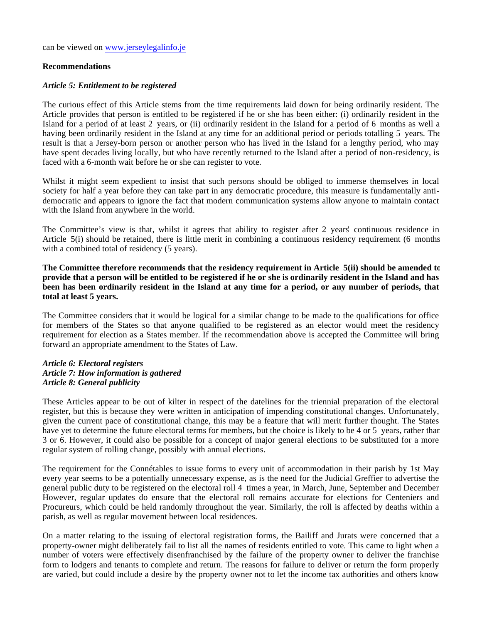can be viewed on <www.jerseylegalinfo.je>

# **Recommendations**

# *Article 5: Entitlement to be registered*

The curious effect of this Article stems from the time requirements laid down for being ordinarily resident. The Article provides that person is entitled to be registered if he or she has been either: (i) ordinarily resident in the Island for a period of at least 2 years, or (ii) ordinarily resident in the Island for a period of 6 months as well a having been ordinarily resident in the Island at any time for an additional period or periods totalling 5 years. The result is that a Jersey-born person or another person who has lived in the Island for a lengthy period, who may have spent decades living locally, but who have recently returned to the Island after a period of non-residency, is faced with a 6-month wait before he or she can register to vote.

Whilst it might seem expedient to insist that such persons should be obliged to immerse themselves in local society for half a year before they can take part in any democratic procedure, this measure is fundamentally antidemocratic and appears to ignore the fact that modern communication systems allow anyone to maintain contact with the Island from anywhere in the world.

The Committee's view is that, whilst it agrees that ability to register after 2 years' continuous residence in Article 5(i) should be retained, there is little merit in combining a continuous residency requirement (6 months) with a combined total of residency (5 years).

**The Committee therefore recommends that the residency requirement in Article 5(ii) should be amended to provide that a person will be entitled to be registered if he or she is ordinarily resident in the Island and has been has been ordinarily resident in the Island at any time for a period, or any number of periods, that total at least 5 years.**

The Committee considers that it would be logical for a similar change to be made to the qualifications for office for members of the States so that anyone qualified to be registered as an elector would meet the residency requirement for election as a States member. If the recommendation above is accepted the Committee will bring forward an appropriate amendment to the States of Law.

#### *Article 6: Electoral registers Article 7: How information is gathered Article 8: General publicity*

These Articles appear to be out of kilter in respect of the datelines for the triennial preparation of the electoral register, but this is because they were written in anticipation of impending constitutional changes. Unfortunately, given the current pace of constitutional change, this may be a feature that will merit further thought. The States have yet to determine the future electoral terms for members, but the choice is likely to be 4 or 5 years, rather than 3 or 6. However, it could also be possible for a concept of major general elections to be substituted for a more regular system of rolling change, possibly with annual elections.

The requirement for the Connétables to issue forms to every unit of accommodation in their parish by 1st May every year seems to be a potentially unnecessary expense, as is the need for the Judicial Greffier to advertise the general public duty to be registered on the electoral roll 4 times a year, in March, June, September and December. However, regular updates do ensure that the electoral roll remains accurate for elections for Centeniers and Procureurs, which could be held randomly throughout the year. Similarly, the roll is affected by deaths within a parish, as well as regular movement between local residences.

On a matter relating to the issuing of electoral registration forms, the Bailiff and Jurats were concerned that a property-owner might deliberately fail to list all the names of residents entitled to vote. This came to light when a number of voters were effectively disenfranchised by the failure of the property owner to deliver the franchise form to lodgers and tenants to complete and return. The reasons for failure to deliver or return the form properly are varied, but could include a desire by the property owner not to let the income tax authorities and others know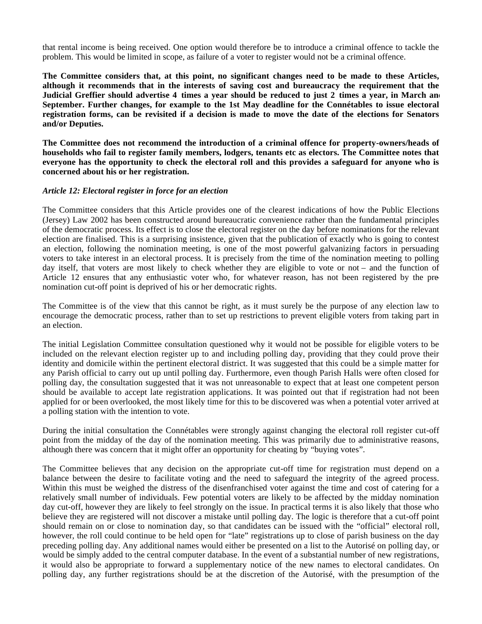that rental income is being received. One option would therefore be to introduce a criminal offence to tackle the problem. This would be limited in scope, as failure of a voter to register would not be a criminal offence.

**The Committee considers that, at this point, no significant changes need to be made to these Articles, although it recommends that in the interests of saving cost and bureaucracy the requirement that the** Judicial Greffier should advertise 4 times a year should be reduced to just 2 times a year, in March and **September. Further changes, for example to the 1st May deadline for the Connétables to issue electoral registration forms, can be revisited if a decision is made to move the date of the elections for Senators and/or Deputies.**

**The Committee does not recommend the introduction of a criminal offence for property-owners/heads of households who fail to register family members, lodgers, tenants etc as electors. The Committee notes that everyone has the opportunity to check the electoral roll and this provides a safeguard for anyone who is concerned about his or her registration.**

# *Article 12: Electoral register in force for an election*

The Committee considers that this Article provides one of the clearest indications of how the Public Elections (Jersey) Law 2002 has been constructed around bureaucratic convenience rather than the fundamental principles of the democratic process. Its effect is to close the electoral register on the day before nominations for the relevant election are finalised. This is a surprising insistence, given that the publication of exactly who is going to contest an election, following the nomination meeting, is one of the most powerful galvanizing factors in persuading voters to take interest in an electoral process. It is precisely from the time of the nomination meeting to polling day itself, that voters are most likely to check whether they are eligible to vote or not – and the function of Article 12 ensures that any enthusiastic voter who, for whatever reason, has not been registered by the prenomination cut-off point is deprived of his or her democratic rights.

The Committee is of the view that this cannot be right, as it must surely be the purpose of any election law to encourage the democratic process, rather than to set up restrictions to prevent eligible voters from taking part in an election.

The initial Legislation Committee consultation questioned why it would not be possible for eligible voters to be included on the relevant election register up to and including polling day, providing that they could prove their identity and domicile within the pertinent electoral district. It was suggested that this could be a simple matter for any Parish official to carry out up until polling day. Furthermore, even though Parish Halls were often closed for polling day, the consultation suggested that it was not unreasonable to expect that at least one competent person should be available to accept late registration applications. It was pointed out that if registration had not been applied for or been overlooked, the most likely time for this to be discovered was when a potential voter arrived at a polling station with the intention to vote.

During the initial consultation the Connétables were strongly against changing the electoral roll register cut-off point from the midday of the day of the nomination meeting. This was primarily due to administrative reasons, although there was concern that it might offer an opportunity for cheating by "buying votes".

The Committee believes that any decision on the appropriate cut-off time for registration must depend on a balance between the desire to facilitate voting and the need to safeguard the integrity of the agreed process. Within this must be weighed the distress of the disenfranchised voter against the time and cost of catering for a relatively small number of individuals. Few potential voters are likely to be affected by the midday nomination day cut-off, however they are likely to feel strongly on the issue. In practical terms it is also likely that those who believe they are registered will not discover a mistake until polling day. The logic is therefore that a cut-off point should remain on or close to nomination day, so that candidates can be issued with the "official" electoral roll, however, the roll could continue to be held open for "late" registrations up to close of parish business on the day preceding polling day. Any additional names would either be presented on a list to the Autorisé on polling day, or would be simply added to the central computer database. In the event of a substantial number of new registrations, it would also be appropriate to forward a supplementary notice of the new names to electoral candidates. On polling day, any further registrations should be at the discretion of the Autorisé, with the presumption of the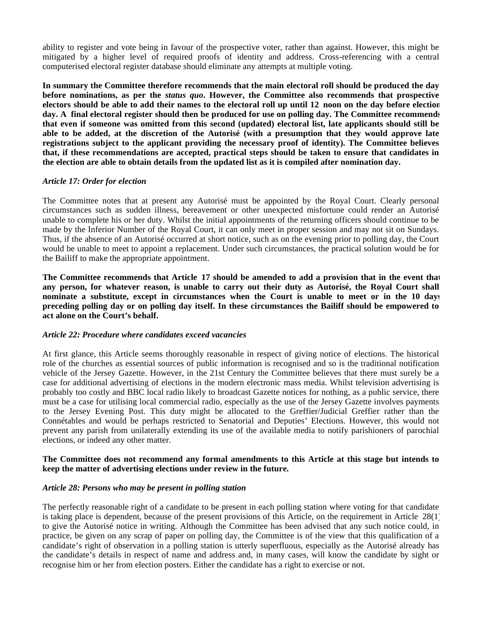ability to register and vote being in favour of the prospective voter, rather than against. However, this might be mitigated by a higher level of required proofs of identity and address. Cross-referencing with a central computerised electoral register database should eliminate any attempts at multiple voting.

**In summary the Committee therefore recommends that the main electoral roll should be produced the day before nominations, as per the** *status quo***. However, the Committee also recommends that prospective electors should be able to add their names to the electoral roll up until 12 noon on the day before election day. A final electoral register should then be produced for use on polling day. The Committee recommends that even if someone was omitted from this second (updated) electoral list, late applicants should still be able to be added, at the discretion of the Autorisé (with a presumption that they would approve late registrations subject to the applicant providing the necessary proof of identity). The Committee believes that, if these recommendations are accepted, practical steps should be taken to ensure that candidates in the election are able to obtain details from the updated list as it is compiled after nomination day.**

# *Article 17: Order for election*

The Committee notes that at present any Autorisé must be appointed by the Royal Court. Clearly personal circumstances such as sudden illness, bereavement or other unexpected misfortune could render an Autorisé unable to complete his or her duty. Whilst the initial appointments of the returning officers should continue to be made by the Inferior Number of the Royal Court, it can only meet in proper session and may not sit on Sundays. Thus, if the absence of an Autorisé occurred at short notice, such as on the evening prior to polling day, the Court would be unable to meet to appoint a replacement. Under such circumstances, the practical solution would be for the Bailiff to make the appropriate appointment.

**The Committee recommends that Article 17 should be amended to add a provision that in the event that any person, for whatever reason, is unable to carry out their duty as Autorisé, the Royal Court shall nominate a substitute, except in circumstances when the Court is unable to meet or in the 10 days preceding polling day or on polling day itself. In these circumstances the Bailiff should be empowered to act alone on the Court's behalf.**

#### *Article 22: Procedure where candidates exceed vacancies*

At first glance, this Article seems thoroughly reasonable in respect of giving notice of elections. The historical role of the churches as essential sources of public information is recognised and so is the traditional notification vehicle of the Jersey Gazette. However, in the 21st Century the Committee believes that there must surely be a case for additional advertising of elections in the modern electronic mass media. Whilst television advertising is probably too costly and BBC local radio likely to broadcast Gazette notices for nothing, as a public service, there must be a case for utilising local commercial radio, especially as the use of the Jersey Gazette involves payments to the Jersey Evening Post. This duty might be allocated to the Greffier/Judicial Greffier rather than the Connétables and would be perhaps restricted to Senatorial and Deputies' Elections. However, this would not prevent any parish from unilaterally extending its use of the available media to notify parishioners of parochial elections, or indeed any other matter.

# **The Committee does not recommend any formal amendments to this Article at this stage but intends to keep the matter of advertising elections under review in the future.**

#### *Article 28: Persons who may be present in polling station*

The perfectly reasonable right of a candidate to be present in each polling station where voting for that candidate is taking place is dependent, because of the present provisions of this Article, on the requirement in Article 28(1) to give the Autorisé notice in writing. Although the Committee has been advised that any such notice could, in practice, be given on any scrap of paper on polling day, the Committee is of the view that this qualification of a candidate's right of observation in a polling station is utterly superfluous, especially as the Autorisé already has the candidate's details in respect of name and address and, in many cases, will know the candidate by sight or recognise him or her from election posters. Either the candidate has a right to exercise or not.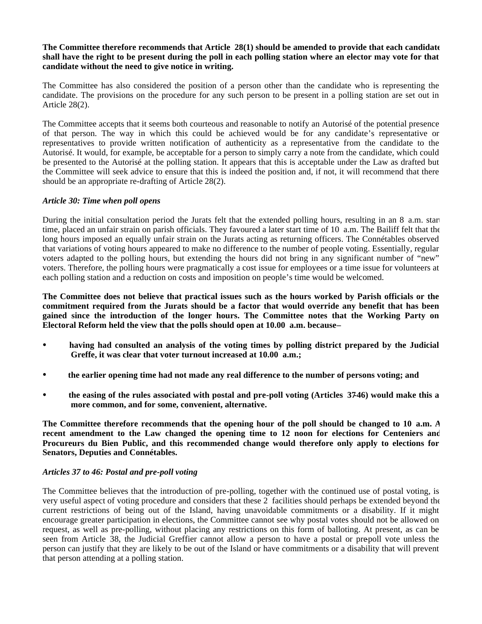**The Committee therefore recommends that Article 28(1) should be amended to provide that each candidate shall have the right to be present during the poll in each polling station where an elector may vote for that candidate without the need to give notice in writing.**

The Committee has also considered the position of a person other than the candidate who is representing the candidate. The provisions on the procedure for any such person to be present in a polling station are set out in Article 28(2).

The Committee accepts that it seems both courteous and reasonable to notify an Autorisé of the potential presence of that person. The way in which this could be achieved would be for any candidate's representative or representatives to provide written notification of authenticity as a representative from the candidate to the Autorisé. It would, for example, be acceptable for a person to simply carry a note from the candidate, which could be presented to the Autorisé at the polling station. It appears that this is acceptable under the Law as drafted but the Committee will seek advice to ensure that this is indeed the position and, if not, it will recommend that there should be an appropriate re-drafting of Article 28(2).

# *Article 30: Time when poll opens*

During the initial consultation period the Jurats felt that the extended polling hours, resulting in an 8 a.m. star time, placed an unfair strain on parish officials. They favoured a later start time of 10 a.m. The Bailiff felt that the long hours imposed an equally unfair strain on the Jurats acting as returning officers. The Connétables observed that variations of voting hours appeared to make no difference to the number of people voting. Essentially, regular voters adapted to the polling hours, but extending the hours did not bring in any significant number of "new" voters. Therefore, the polling hours were pragmatically a cost issue for employees or a time issue for volunteers at each polling station and a reduction on costs and imposition on people's time would be welcomed.

**The Committee does not believe that practical issues such as the hours worked by Parish officials or the commitment required from the Jurats should be a factor that would override any benefit that has been gained since the introduction of the longer hours. The Committee notes that the Working Party on Electoral Reform held the view that the polls should open at 10.00 a.m. because –**

- **having had consulted an analysis of the voting times by polling district prepared by the Judicial Greffe, it was clear that voter turnout increased at 10.00 a.m.;**
- **the earlier opening time had not made any real difference to the number of persons voting; and**
- **the easing of the rules associated with postal and pre-poll voting (Articles 37-46) would make this a more common, and for some, convenient, alternative.**

**The Committee therefore recommends that the opening hour of the poll should be changed to 10 a.m. A recent amendment to the Law changed the opening time to 12 noon for elections for Centeniers and Procureurs du Bien Public, and this recommended change would therefore only apply to elections for Senators, Deputies and Connétables.**

# *Articles 37 to 46: Postal and pre-poll voting*

The Committee believes that the introduction of pre-polling, together with the continued use of postal voting, is very useful aspect of voting procedure and considers that these 2 facilities should perhaps be extended beyond the current restrictions of being out of the Island, having unavoidable commitments or a disability. If it might encourage greater participation in elections, the Committee cannot see why postal votes should not be allowed on request, as well as pre-polling, without placing any restrictions on this form of balloting. At present, as can be seen from Article 38, the Judicial Greffier cannot allow a person to have a postal or pre-poll vote unless the person can justify that they are likely to be out of the Island or have commitments or a disability that will prevent that person attending at a polling station.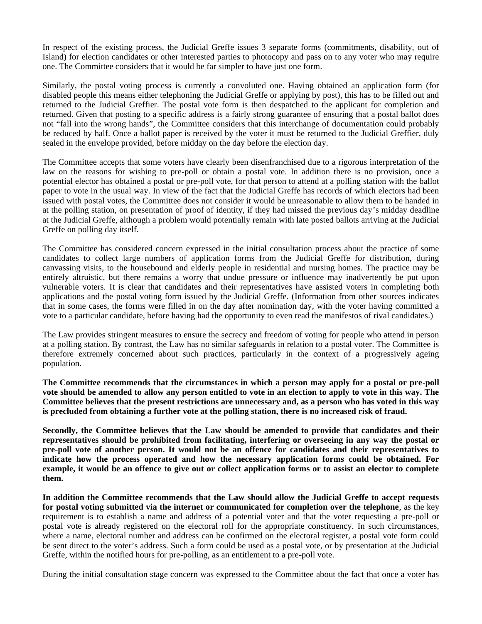In respect of the existing process, the Judicial Greffe issues 3 separate forms (commitments, disability, out of Island) for election candidates or other interested parties to photocopy and pass on to any voter who may require one. The Committee considers that it would be far simpler to have just one form.

Similarly, the postal voting process is currently a convoluted one. Having obtained an application form (for disabled people this means either telephoning the Judicial Greffe or applying by post), this has to be filled out and returned to the Judicial Greffier. The postal vote form is then despatched to the applicant for completion and returned. Given that posting to a specific address is a fairly strong guarantee of ensuring that a postal ballot does not "fall into the wrong hands", the Committee considers that this interchange of documentation could probably be reduced by half. Once a ballot paper is received by the voter it must be returned to the Judicial Greffier, duly sealed in the envelope provided, before midday on the day before the election day.

The Committee accepts that some voters have clearly been disenfranchised due to a rigorous interpretation of the law on the reasons for wishing to pre-poll or obtain a postal vote. In addition there is no provision, once a potential elector has obtained a postal or pre-poll vote, for that person to attend at a polling station with the ballot paper to vote in the usual way. In view of the fact that the Judicial Greffe has records of which electors had been issued with postal votes, the Committee does not consider it would be unreasonable to allow them to be handed in at the polling station, on presentation of proof of identity, if they had missed the previous day's midday deadline at the Judicial Greffe, although a problem would potentially remain with late posted ballots arriving at the Judicial Greffe on polling day itself.

The Committee has considered concern expressed in the initial consultation process about the practice of some candidates to collect large numbers of application forms from the Judicial Greffe for distribution, during canvassing visits, to the housebound and elderly people in residential and nursing homes. The practice may be entirely altruistic, but there remains a worry that undue pressure or influence may inadvertently be put upon vulnerable voters. It is clear that candidates and their representatives have assisted voters in completing both applications and the postal voting form issued by the Judicial Greffe. (Information from other sources indicates that in some cases, the forms were filled in on the day after nomination day, with the voter having committed a vote to a particular candidate, before having had the opportunity to even read the manifestos of rival candidates.)

The Law provides stringent measures to ensure the secrecy and freedom of voting for people who attend in person at a polling station. By contrast, the Law has no similar safeguards in relation to a postal voter. The Committee is therefore extremely concerned about such practices, particularly in the context of a progressively ageing population.

**The Committee recommends that the circumstances in which a person may apply for a postal or pre-poll vote should be amended to allow any person entitled to vote in an election to apply to vote in this way. The Committee believes that the present restrictions are unnecessary and, as a person who has voted in this way is precluded from obtaining a further vote at the polling station, there is no increased risk of fraud.**

**Secondly, the Committee believes that the Law should be amended to provide that candidates and their representatives should be prohibited from facilitating, interfering or overseeing in any way the postal or pre-poll vote of another person. It would not be an offence for candidates and their representatives to indicate how the process operated and how the necessary application forms could be obtained. For example, it would be an offence to give out or collect application forms or to assist an elector to complete them.**

**In addition the Committee recommends that the Law should allow the Judicial Greffe to accept requests for postal voting submitted via the internet or communicated for completion over the telephone**, as the key requirement is to establish a name and address of a potential voter and that the voter requesting a pre-poll or postal vote is already registered on the electoral roll for the appropriate constituency. In such circumstances, where a name, electoral number and address can be confirmed on the electoral register, a postal vote form could be sent direct to the voter's address. Such a form could be used as a postal vote, or by presentation at the Judicial Greffe, within the notified hours for pre-polling, as an entitlement to a pre-poll vote.

During the initial consultation stage concern was expressed to the Committee about the fact that once a voter has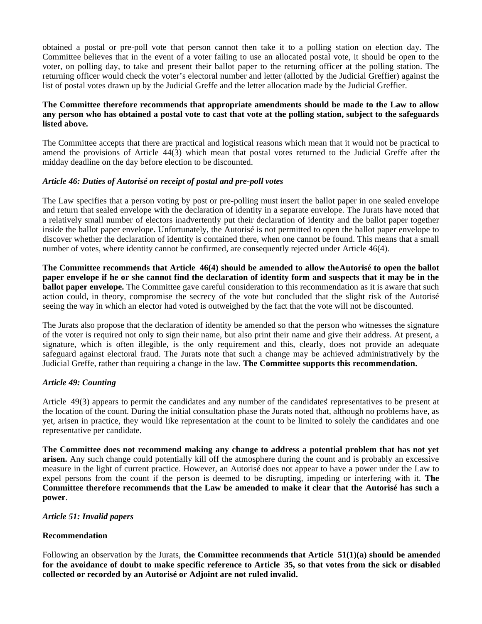obtained a postal or pre-poll vote that person cannot then take it to a polling station on election day. The Committee believes that in the event of a voter failing to use an allocated postal vote, it should be open to the voter, on polling day, to take and present their ballot paper to the returning officer at the polling station. The returning officer would check the voter's electoral number and letter (allotted by the Judicial Greffier) against the list of postal votes drawn up by the Judicial Greffe and the letter allocation made by the Judicial Greffier.

# **The Committee therefore recommends that appropriate amendments should be made to the Law to allow any person who has obtained a postal vote to cast that vote at the polling station, subject to the safeguards listed above.**

The Committee accepts that there are practical and logistical reasons which mean that it would not be practical to amend the provisions of Article 44(3) which mean that postal votes returned to the Judicial Greffe after the midday deadline on the day before election to be discounted.

# *Article 46: Duties of Autorisé on receipt of postal and pre-poll votes*

The Law specifies that a person voting by post or pre-polling must insert the ballot paper in one sealed envelope and return that sealed envelope with the declaration of identity in a separate envelope. The Jurats have noted that a relatively small number of electors inadvertently put their declaration of identity and the ballot paper together inside the ballot paper envelope. Unfortunately, the Autorisé is not permitted to open the ballot paper envelope to discover whether the declaration of identity is contained there, when one cannot be found. This means that a small number of votes, where identity cannot be confirmed, are consequently rejected under Article 46(4).

**The Committee recommends that Article 46(4) should be amended to allow the Autorisé to open the ballot paper envelope if he or she cannot find the declaration of identity form and suspects that it may be in the ballot paper envelope.** The Committee gave careful consideration to this recommendation as it is aware that such action could, in theory, compromise the secrecy of the vote but concluded that the slight risk of the Autorisé seeing the way in which an elector had voted is outweighed by the fact that the vote will not be discounted.

The Jurats also propose that the declaration of identity be amended so that the person who witnesses the signature of the voter is required not only to sign their name, but also print their name and give their address. At present, a signature, which is often illegible, is the only requirement and this, clearly, does not provide an adequate safeguard against electoral fraud. The Jurats note that such a change may be achieved administratively by the Judicial Greffe, rather than requiring a change in the law. **The Committee supports this recommendation.**

# *Article 49: Counting*

Article 49(3) appears to permit the candidates and any number of the candidates' representatives to be present at the location of the count. During the initial consultation phase the Jurats noted that, although no problems have, as yet, arisen in practice, they would like representation at the count to be limited to solely the candidates and one representative per candidate.

**The Committee does not recommend making any change to address a potential problem that has not yet arisen.** Any such change could potentially kill off the atmosphere during the count and is probably an excessive measure in the light of current practice. However, an Autorisé does not appear to have a power under the Law to expel persons from the count if the person is deemed to be disrupting, impeding or interfering with it. **The Committee therefore recommends that the Law be amended to make it clear that the Autorisé has such a power**.

# *Article 51: Invalid papers*

# **Recommendation**

Following an observation by the Jurats, **the Committee recommends that Article 51(1)(a) should be amended for the avoidance of doubt to make specific reference to Article 35, so that votes from the sick or disabled collected or recorded by an Autorisé or Adjoint are not ruled invalid.**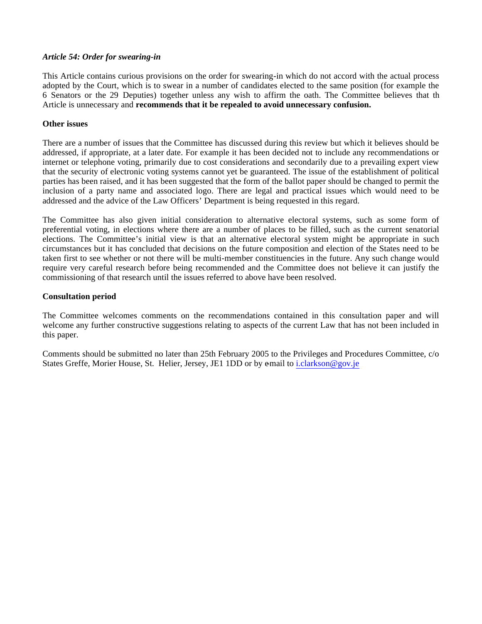# *Article 54: Order for swearing-in*

This Article contains curious provisions on the order for swearing-in which do not accord with the actual process adopted by the Court, which is to swear in a number of candidates elected to the same position (for example the 6 Senators or the 29 Deputies) together unless any wish to affirm the oath. The Committee believes that the Article is unnecessary and **recommends that it be repealed to avoid unnecessary confusion.**

# **Other issues**

There are a number of issues that the Committee has discussed during this review but which it believes should be addressed, if appropriate, at a later date. For example it has been decided not to include any recommendations or internet or telephone voting, primarily due to cost considerations and secondarily due to a prevailing expert view that the security of electronic voting systems cannot yet be guaranteed. The issue of the establishment of political parties has been raised, and it has been suggested that the form of the ballot paper should be changed to permit the inclusion of a party name and associated logo. There are legal and practical issues which would need to be addressed and the advice of the Law Officers' Department is being requested in this regard.

The Committee has also given initial consideration to alternative electoral systems, such as some form of preferential voting, in elections where there are a number of places to be filled, such as the current senatorial elections. The Committee's initial view is that an alternative electoral system might be appropriate in such circumstances but it has concluded that decisions on the future composition and election of the States need to be taken first to see whether or not there will be multi-member constituencies in the future. Any such change would require very careful research before being recommended and the Committee does not believe it can justify the commissioning of that research until the issues referred to above have been resolved.

# **Consultation period**

The Committee welcomes comments on the recommendations contained in this consultation paper and will welcome any further constructive suggestions relating to aspects of the current Law that has not been included in this paper.

Comments should be submitted no later than 25th February 2005 to the Privileges and Procedures Committee, c/o States Greffe, Morier House, St. Helier, Jersey, JE1 1DD or by email to i.[clarkson@gov.je](mailto:clarkson@gov.je)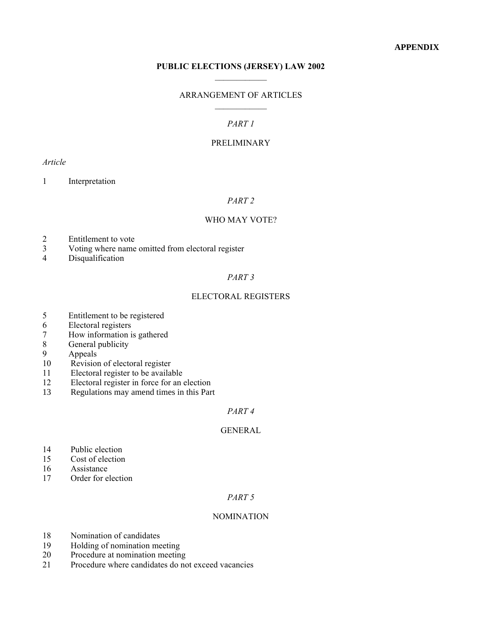# **PUBLIC ELECTIONS (JERSEY) LAW 2002**  $\frac{1}{2}$

# ARRANGEMENT OF ARTICLES  $\frac{1}{2}$

# *PART 1*

# PRELIMINARY

# *Article*

1 Interpretation

# *PART 2*

# WHO MAY VOTE?

- 2 Entitlement to vote<br>3 Voting where name
- 3 Voting where name omitted from electoral register<br>4 Disqualification
- Disqualification

#### *PART 3*

#### ELECTORAL REGISTERS

- 5 Entitlement to be registered<br>6 Electoral registers
- 6 Electoral registers
- 7 How information is gathered
- General publicity
- 9 Appeals
- 10 Revision of electoral register<br>11 Electoral register to be availa
- 11 Electoral register to be available
- 12 Electoral register in force for an election
- Regulations may amend times in this Part

# *PART 4*

# **GENERAL**

- 14 Public election<br>15 Cost of election
- 15 Cost of election<br>16 Assistance
- 16 Assistance<br>17 Order for e
- Order for election

# *PART 5*

# NOMINATION

- 18 Nomination of candidates<br>19 Holding of nomination me
- 19 Holding of nomination meeting<br>20 Procedure at nomination meetin
- 20 Procedure at nomination meeting<br>21 Procedure where candidates do no
- Procedure where candidates do not exceed vacancies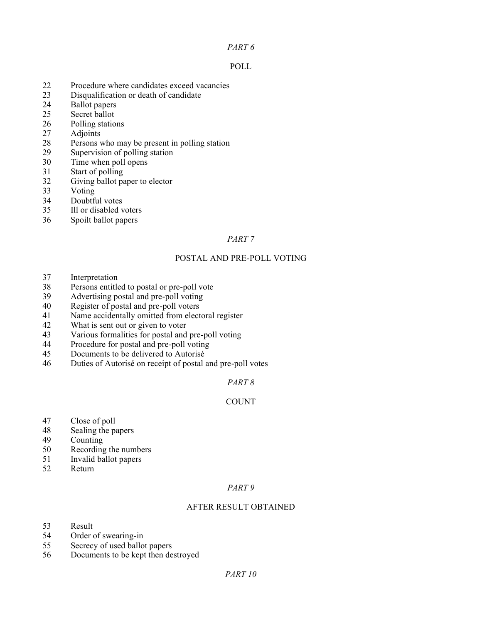# *PART 6*

# POLL

- 22 Procedure where candidates exceed vacancies
- 23 Disqualification or death of candidate<br>24 Ballot papers
- 24 Ballot papers<br>25 Secret ballot
- Secret ballot
- 26 Polling stations
- 27 Adjoints<br>28 Persons v
- 28 Persons who may be present in polling station<br>29 Supervision of polling station
- 29 Supervision of polling station<br>30 Time when poll opens
- $T$ ime when poll opens
- 31 Start of polling
- 32 Giving ballot paper to elector
- 33 Voting<br>34 Doubtfi
- 34 Doubtful votes<br>35 Ill or disabled v
- Ill or disabled voters
- 36 Spoilt ballot papers

# *PART 7*

# POSTAL AND PRE-POLL VOTING

- 37 Interpretation<br>38 Persons entitle
- 38 Persons entitled to postal or pre-poll vote<br>39 Advertising postal and pre-poll voting
- Advertising postal and pre-poll voting
- 40 Register of postal and pre-poll voters
- 41 Name accidentally omitted from electoral register<br>42 What is sent out or given to voter
- 42 What is sent out or given to voter<br>43 Various formalities for postal and
- 43 Various formalities for postal and pre-poll voting<br>44 Procedure for postal and pre-poll voting
- Procedure for postal and pre-poll voting
- 45 Documents to be delivered to Autorisé
- 46 Duties of Autorisé on receipt of postal and pre-poll votes

# *PART 8*

# COUNT

- 47 Close of poll
- 48 Sealing the papers
- 49 Counting
- 50 Recording the numbers<br>51 Invalid ballot papers
- 51 Invalid ballot papers
- Return

# *PART 9*

# AFTER RESULT OBTAINED

- 53 Result
- 54 Order of swearing-in<br>55 Secrecy of used ballo
- 55 Secrecy of used ballot papers<br>56 Documents to be kept then de
- Documents to be kept then destroyed